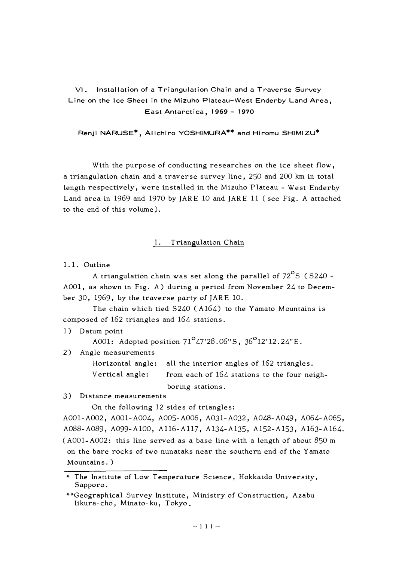VI. Installation of a Triangulation Chain and a Traverse Survey **Line on the Ice Sheet in the Mizuho Plateau-West Enderby Land Area, East Antarctica, 1969 - 1970** 

**Renji NARUSE\*, Aiichiro YOSHIMURA\*\* and Hiromu SHIMIZU\*** 

With the purpose of conducting researches on the ice sheet flow, a triangulation chain and a traverse survey line, 250 and 200 km in total length respectively, were installed in the Mizuho Plateau - West Enderby Land area in 1969 and 1970 by JARE 10 and JARE 11 ( see Fig. A attached to the end of this volume).

# 1. Triangulation Chain

1. 1. Outline

A triangulation chain was set along the parallel of  $72^{\circ}$ S ( S240 -AOOl, as shown in Fig. A) during a period from November 24 to December 30, 1969, by the traverse party of JARE 10.

The chain which tied S240 ( A164) to the Yamato Mountains is composed of 162 triangles and 164 stations.

1) Datum point

A001: Adopted position  $71^{\circ}$ 47'28.06"S, 36<sup>°</sup>12'12.24"E.

2) Angle measurements

Horizontal angle: all the interior angles of 162 triangles. Vertical angle: from each of 164 stations to the four neigh-

boring stations.

3) Distance measurements

On the following 12 sides of triangles:

A001-A002, A001-A004, A005-A006, A031-A032, A048-A049, A064-A065, A088-A089, A099-A100, Al16-Al17, A134-A135, A152-Al53, Al63-A164. ( A001-A002: this line served as a base line with a length of about 850 m on the bare rocks of two nunataks near the southern end of the Yamato Mountains. )

<sup>\*</sup> The Institute of Low Temperature Science, Hokkaido University, Sapporo.

<sup>\*\*</sup>Geographical Survey Institute, Ministry of Construction, Azabu likura-cho, Minato-ku, Tokyo.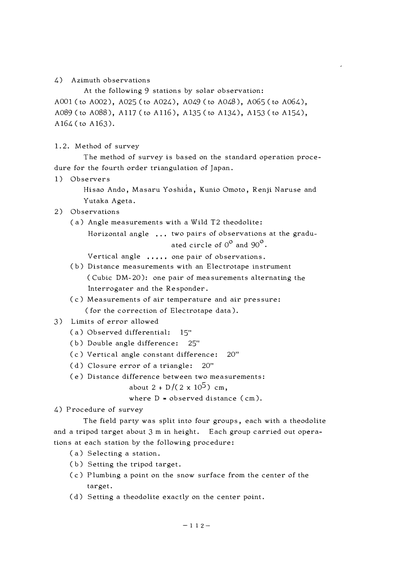#### **4) Azimuth observations**

**At the following 9 stations by solar observation: AOOl ( to A002), A025 ( to A024), A049 ( to A048), A065 ( to A064), A089 (to A088), A117 (to A116), Al35 (to A134), Al53 (to A154), A164 ( to A163).** 

**1. 2. Met hod of survey** 

**The method of survey is based on the standard operation procedure for the fourth order triangulation of Japan.** 

**1) Observers** 

**Hisao Ando, Masaru Yoshida, Kunio Omoto, Renji Naruse and Yutaka Ageta.** 

#### **2) Observations**

**( a) Angle measurements with a Wild T2 theodolite:** 

**Horizontal angle two pairs of observations at the graduated circle of 0** ° **and 90**° **.** 

**Vertical angle one pair of observations.** 

- **( b) Distance measurements with an Electrotape instrument ( Cubic DM-20): one pair of measurements alternating the lnterrogater and the Responder.**
- **( c) Measurements of air temperature and air pressure: ( for the correction of Electrotape data).**
- **3) Limits of error allowed** 
	- **( a) Observed differential: 15"**
	- **( b) Double angle difference: 25"**
	- **( c) Vertical angle constant difference: 20"**
	- **( d) Closure error of a triangle: 20"**
	- **( e) Distance difference between two measurements:**

about  $2 + D/(2 \times 10^5)$  cm.

where  $D =$  observed distance (cm).

**4) Procedure of survey** 

**The field party was split into four groups, each with a theodolite and a tripod target about 3 m in height. Each group carried out operations at each station by the following procedure:** 

- **(a) Selecting a station.**
- **( b) Setting the tripod target.**
- **( c) Plumbing a point on the snow surface from the center of the target.**
- **( d) Setting a theodolite exactly on the center point.**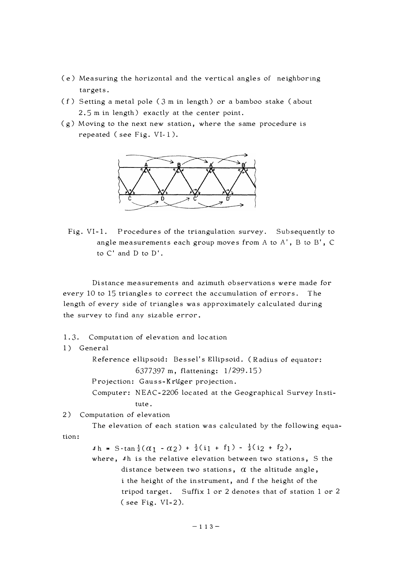- ( e) Measuring the horizontal and the vertical angles of neighboring targets.
- ( f ) Setting a metal pole ( 3 m in length) or a bamboo stake ( about 2. 5 m in length) exactly at the center point.
- ( g) Moving to the next new station, where the same procedure is repeated ( see Fig. VI-1 ).



Fig. VI-1. Procedures of the triangulation survey. Subsequently to angle measurements each group moves from A to A', B to B', C to C' and D to D' .

Distance measurements and azimuth observations were made for every 10 to 15 triangles to correct the accumulation of errors. The length of every side of triangles was approximately calculated during the survey to find any sizable error.

1. 3. Computation of elevation and location

#### 1) General

Reference ellipsoid: Bessel's Ellipsoid. (Radius of equator: 6377397 m, flattening: 1/299.15) Projection: Gauss-Krüger projection.

Computer: NEAC-2206 located at the Geographical Survey Institute.

2) Computation of elevation

The elevation of each station was calculated by the following equation:

 $\Delta h = S \cdot \tan \frac{1}{2}(\alpha_1 - \alpha_2) + \frac{1}{2}(i_1 + f_1) - \frac{1}{2}(i_2 + f_2),$ 

where, Ih is the relative elevation between two stations, S the distance between two stations,  $\alpha$  the altitude angle, i the height of the instrument, and f the height of the tripod target. Suffix 1 or 2 denotes that of station 1 or 2 ( see Fig. VI-2).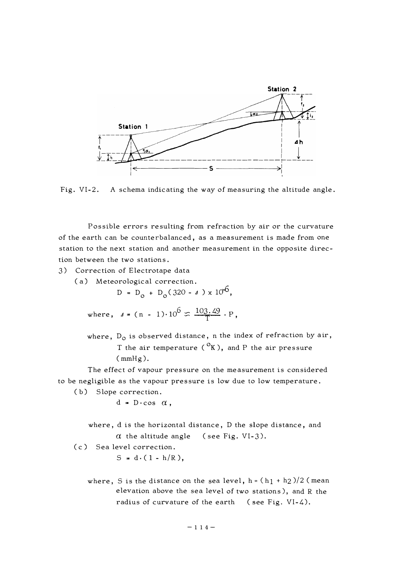

**Fig. VI-2. A schema indicating the way of measuring the altitude angle.** 

**Possible errors resulting from refraction by air or the curvature of the earth can be counterbalanced, as a measurement is made from one station to the next station and another measurement in the opposite direction between the two stations.** 

**3) Correction of Electrotape data** 

**(a) Meteorological correction.** 

 $D = D_0 + D_0 (320 - 4) \times 10^{6}$ 

where, 
$$
d = (n - 1) \cdot 10^6 \approx \frac{103.49}{T} \cdot P
$$
,

where, D<sub>o</sub> is observed distance, n the index of refraction by air, **T the air temperature ( °K), and P the air pressure (mmHg).** 

**The effect of vapour pressure on the measurement is considered to be negligible as the vapour pressure is low due to low temperature.** 

**( b) Slope correction.** 

 $d = D \cdot \cos \alpha$ ,

**where, d is the horizontal distance, D the slope distance, and**   $\alpha$  the altitude angle (see Fig. VI-3).

**( c) Sea level correction.** 

 $S = d \cdot (1 - h/R),$ 

where, S is the distance on the sea level,  $h = (h_1 + h_2)/2$  (mean **elevation above the sea level of two stations), and R the radius of curvature of the earth ( see Fig. VI-4).**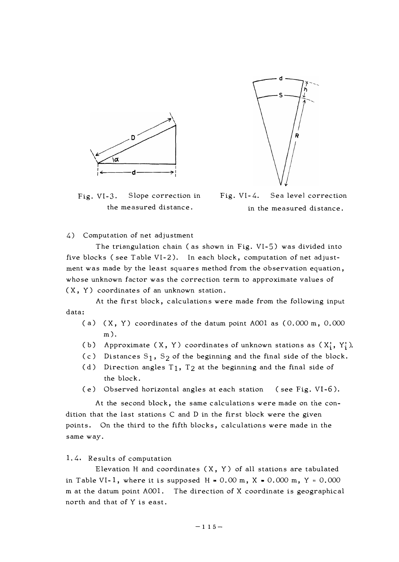



Fig. VI-3. Slope correction in Fig. VI-4. Sea level correction the measured distance. in the measured distance.

4) Computation of net adjustment

The triangulation chain ( as shown in Fig. VI-5) was divided into five blocks ( see Table VI-2). In each block, computation of net adjustment was made by the least squares method from the observation equation, whose unknown factor was the correction term to approximate values of ( X, Y) coordinates of an unknown station.

At the first block, calculations were made from the following input data:

- ( a) (X, Y) coordinates of the datum point AOOl as (0.000 m, 0.000 m).
- (b) Approximate  $(X, Y)$  coordinates of unknown stations as  $(X'_i, Y'_i)$ .
- (c) Distances  $S_1$ ,  $S_2$  of the beginning and the final side of the block.
- (d) Direction angles  $T_1$ ,  $T_2$  at the beginning and the final side of the block.
- ( e) Observed horizontal angles at each station ( see Fig. VI-6).

At the second block, the same calculations were made on the condition that the last stations C and D in the first block were the given points. On the third to the fifth blocks, calculations were made in the same way.

#### 1. 4, Results of computation

Elevation H and coordinates  $(X, Y)$  of all stations are tabulated in Table VI-1, where it is supposed  $H = 0.00 m$ ,  $X = 0.000 m$ ,  $Y = 0.000$ m at the datum point AOOl. The direction of X coordinate is geographical north and that of Y is east.

**- 1 1 5 -**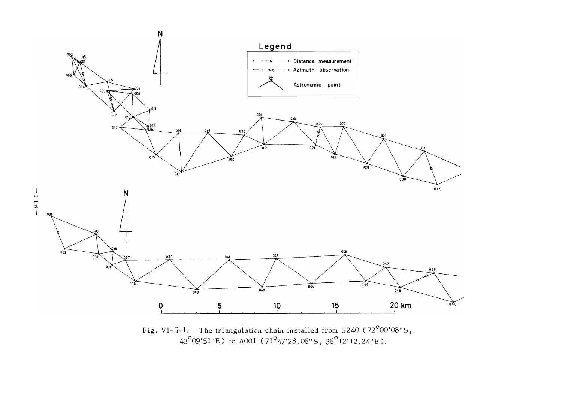

Fig. VI-5-1. The triangulation chain installed from S240 (72 $^{\sf o}$ 00'08"S, 43° 09'5l"E) to AOOl (71° 47'28.06"5, 36° 12'12.24"E).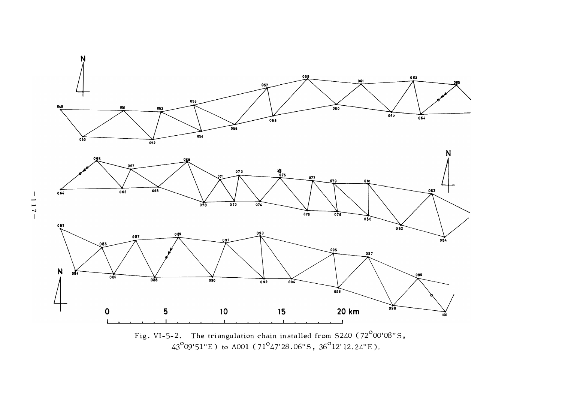



 $\frac{1}{1}$ - 1 1 7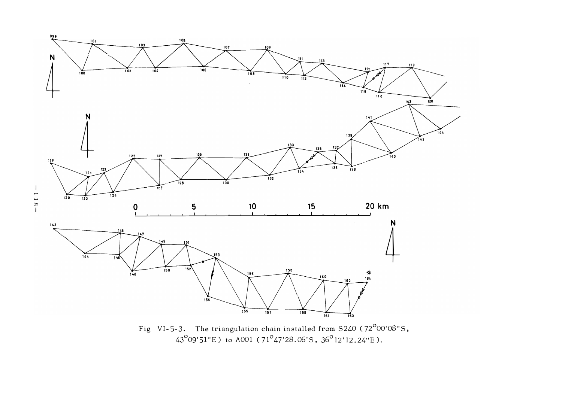

Fig VI-5-3. The triangulation chain installed from S240 (72<sup>°</sup>00'08"S,<br>43<sup>°</sup>09'51"E) to A001 (71<sup>°</sup>47'28.06'S, 36<sup>°</sup>12'12.24"E).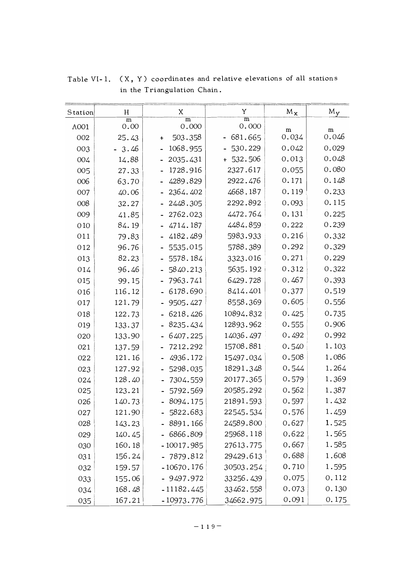| Station | H                      | X                       | Y                              | $M_{\chi}$ | $M_{\rm Y}$ |
|---------|------------------------|-------------------------|--------------------------------|------------|-------------|
| A001    | $\overline{m}$<br>0.00 | $\overline{m}$<br>0.000 | $\overline{\text{m}}$<br>0.000 |            |             |
| 002     | 25.43                  | 503.358<br>÷            | 681.665                        | m<br>0.034 | m<br>0.046  |
| 003     | 3.46                   | 1068.955                | 530.229                        | 0.042      | 0.029       |
| 004     | 14.88                  | 2035.431                | $+532.506$                     | 0.013      | 0.048       |
| 005     | 27.33                  | 1728.916                | 2327.617                       | 0.055      | 0.080       |
| 006     | 63.70                  | 4289.829                | 2922.476                       | 0.171      | 0.148       |
| 007     | 40.06                  | 2364.402                | 4668.187                       | 0.119      | 0.233       |
| 008     | 32.27                  | 2448.305                | 2292.892                       | 0.093      | 0.115       |
| 009     | 41.85                  | 2762.023                | 4472.764                       | 0.131      | 0.225       |
| 010     | 84.19                  | 4714.187                | 4484.859                       | 0.222      | 0.239       |
| 011     | 79.83                  | 4182.489                | 5983.933                       | 0.216      | 0.332       |
| 012     | 96.76                  | 5535.015                | 5788.389                       | 0.292      | 0.329       |
| 013     | 82.23                  | 5578.184                | 3323.016                       | 0.271      | 0.229       |
| 014     | 96.46                  | 5840.213                | 5635.192                       | 0.312      | 0.322       |
| 015     | 99.15                  | 7963.741                | 6429.728                       | 0.467      | 0.393       |
| 016     | 116.12                 | 6178.690                | 8414.401                       | 0.377      | 0.519       |
| 017     | 121.79                 | 9505.427                | 8558.369                       | 0.605      | 0.556       |
| 018     | 122.73                 | 6218.426                | 10894.832                      | 0.425      | 0.735       |
| 019     | 133.37                 | 8235.434                | 12893.962                      | 0.555      | 0.906       |
| 020     | 133.90                 | 6407.225                | 14036.497                      | 0.492      | 0.992       |
| 021     | 137.59                 | 7212.292                | 15708.881                      | 0.540      | 1.103       |
| 022     | 121.16                 | 4936.172                | 15497.034                      | 0.508      | 1.086       |
| 023     | 127.92                 | 5298.035                | 18291.348                      | 0.544      | 1.264       |
| 024     | 128.40                 | 7304.559                | 20177.365                      | 0.579      | 1.369       |
| 025     | 123.21                 | 5792.569                | 20585.292                      | 0.562      | 1.387       |
| 026     | 140.73                 | 8094.175                | 21891.593                      | 0.597      | 1.432       |
| 027     | 121.90                 | $-5822.683$             | 22545.534                      | 0.576      | 1.459       |
| 028     | 143.23                 | $-8891.166$             | 24589.800                      | 0.627      | 1.525       |
| 029     | 140.45                 | $-6866.809$             | 25968.118                      | 0.622      | 1.565       |
| 030     | 160.18                 | $-10017.985$            | 27613.775                      | 0.667      | 1.585       |
| 031     | 156.24                 | 7879.812                | 29429.613                      | 0.688      | 1.608       |
| 032     | 159.57                 | $-10670.176$            | 30503.254                      | 0.710      | 1.595       |
| 033     | 155.06                 | $-9497.972$             | 33256.439                      | 0.075      | 0.112       |
| 034     | 168.48                 | $-11182.445$            | 33462.558                      | 0.073      | 0.130       |
| 035     | 167.21                 | - 10973.776             | 34662.975                      | 0.091      | 0.175       |

**Table VI-**<sup>1</sup>**. ( X, Y) coordinates and relative elevations of all stations in the Triangulation Chain.**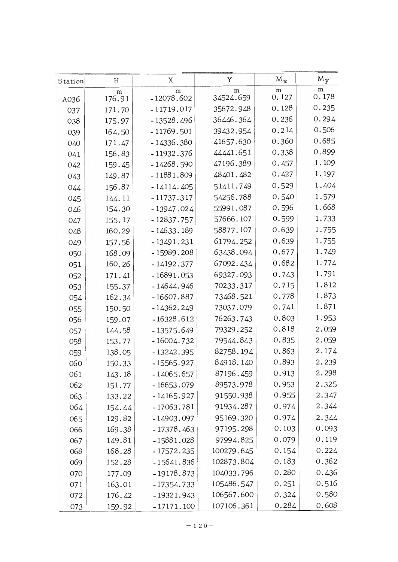| Station | H           | X                 | Y              | $M_{\chi}$ | $M_{y}$    |
|---------|-------------|-------------------|----------------|------------|------------|
| A036    | m<br>176.91 | m<br>$-12078.602$ | m<br>34524.659 | m<br>0.127 | m<br>0.178 |
| 037     | 171.70      | $-11719.017$      | 35672.948      | 0.128      | 0.235      |
| 038     | 175.97      | $-13528.496$      | 36446.364      | 0.236      | 0.294      |
| 039     | 164.50      | $-11769.501$      | 39432.954      | 0.214      | 0.506      |
| 040     | 171.47      | $-14336.380$      | 41657.630      | 0.360      | 0.685      |
| 041     | 156.83      | $-11932.376$      | 44441.651      | 0.338      | 0.899      |
| 042     | 159.45      | $-14268.590$      | 47196.389      | 0.457      | 1.109      |
| 043     | 149.87      | $-11881.809$      | 48401.482      | 0.427      | 1.197      |
| 044     | 156.87      | $-14114.405$      | 51411.749      | 0.529      | 1.404      |
| 045     | 144.11      | $-11737.317$      | 54256.788      | 0.540      | 1.579      |
| 046     | 154.30      | $-13947.024$      | 55991.087      | 0.596      | 1.668      |
| 047     | 155.17      | $-12837.757$      | 57666.107      | 0.599      | 1.733      |
| 048     | 160.29      | $-14633.189$      | 58877.107      | 0.639      | 1.755      |
| 049     | 157.56      | $-13491.231$      | 61794.252      | 0.639      | 1.755      |
| 050     | 168.09      | $-15989.208$      | 63438.094      | 0.677      | 1.749      |
| 051     | 160.26      | $-14192.377$      | 67092.434      | 0.682      | 1.774      |
| 052     | 171.41      | $-16891.053$      | 69327.093      | 0.743      | 1.791      |
| 053     | 155.37      | - 14644.946       | 70233.317      | 0.715      | 1.812      |
| 054     | 162.34      | - 16607.887       | 73468.521      | 0.778      | 1.873      |
| 055     | 150.50      | $-14362.249$      | 73037.079      | 0.741      | 1.871      |
| 056     | 159.07      | $-16328.612$      | 76263.743      | 0.803      | 1.953      |
| 057     | 144.58      | $-13575.649$      | 79329.252      | 0.818      | 2.059      |
| 058     | 153.77      | $-16004.732$      | 79544.843      | 0.835      | 2.059      |
| 059     | 138.05      | $-13242.395$      | 82758.194      | 0.863      | 2.174      |
| 060     | 150.33      | - 15565.927       | 84918.140      | 0.893      | 2.239      |
| 061     | 143.18      | - 14065.657       | 87196.459      | 0.913      | 2.298      |
| 062     | 151.77      | $-16653.079$      | 89573.978      | 0.953      | 2.325      |
| 063     | 133.22      | $-14165.927$      | 91550.938      | 0.955      | 2.347      |
| 064     | 154.44      | $-17063.781$      | 91934.287      | 0.974      | 2.344      |
| 065     | 129.82      | $-14903.097$      | 95169.320      | 0.974      | 2.344      |
| 066     | 169.38      | $-17378.463$      | 97195.298      | 0.103      | 0.093      |
| 067     | 149.81      | $-15881.028$      | 97994.825      | 0.079      | [0.119]    |
| 068     | 168.28      | $-17572.235$      | 100279.645     | 0.154      | 0.224      |
| 069     | 152.28      | $-15641.836$      | 102873.804     | 0.183      | 0.362      |
| 070     | 177.09      | $-19178.873$      | 104033.796     | 0.280      | 0.436      |
| 071     | 163.01      | $-17354.733$      | 105486.547     | 0.251      | 0.516      |
| 072     | 176.42      | $-19321.943$      | 106567.600     | 0.324      | 0.580      |
| 073     | 159.92      | $-17171.100$      | 107106.361     | 0.284      | 0.608      |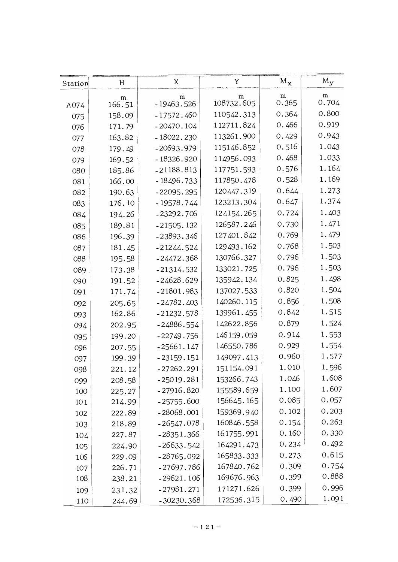| Station | H         | X            | Y          | $M_{\chi}$ | $M_{V}$ |
|---------|-----------|--------------|------------|------------|---------|
|         | ${\bf m}$ | m            | m          | ${\bf m}$  | m       |
| A074    | 166.51    | $-19463.526$ | 108732.605 | 0.365      | 0.704   |
| 075     | 158.09    | $-17572.460$ | 110542.313 | 0.364      | 0.800   |
| 076     | 171.79    | $-20470.104$ | 112711.824 | 0.466      | 0.919   |
| 077     | 163.82    | $-18022.230$ | 113261.900 | 0.429      | 0.943   |
| 078     | 179.49    | $-20693.979$ | 115146.852 | 0.516      | 1.043   |
| 079     | 169.52    | $-18326.920$ | 114956.093 | 0.468      | 1.033   |
| 080     | 185.86    | $-21188.813$ | 117751.593 | 0.576      | 1.164   |
| 081     | 166.00    | $-18496.733$ | 117850.478 | 0.528      | 1.169   |
| 082     | 190.63    | $-22095.295$ | 120447.319 | 0.644      | 1.273   |
| 083     | 176.10    | $-19578.744$ | 123213.304 | 0.647      | 1.374   |
| 084     | 194.26    | $-23292.706$ | 124154.265 | 0.724      | 1.403   |
| 085     | 189.81    | $-21505.132$ | 126587.246 | 0.730      | 1.471   |
| 086     | 196.39    | $-23893.346$ | 127401.842 | 0.769      | 1.479   |
| 087     | 181.45    | $-21244.524$ | 129493.162 | 0.768      | 1.503   |
| 088     | 195.58    | $-24472.368$ | 130766.327 | 0.796      | 1.503   |
| 089     | 173.38    | $-21314.532$ | 133021.725 | 0.796      | 1.503   |
| 090     | 191.52    | $-24628.629$ | 135942.134 | 0.825      | 1.498   |
| 091     | 171.74    | $-21801.983$ | 137027.533 | 0.820      | 1.504   |
| 092     | 205.65    | $-24782.403$ | 140260.115 | 0.856      | 1.508   |
| 093     | 162.86    | $-21232.578$ | 139961.455 | 0.842      | 1.515   |
| 094     | 202.95    | $-24886.554$ | 142622.856 | 0.879      | 1.524   |
| 095     | 199.20    | $-22749.756$ | 146159.059 | 0.914      | 1.553   |
| 096     | 207.55    | $-25661.147$ | 146550.786 | 0.929      | 1.554   |
| 097     | 199.39    | $-23159.151$ | 149097.413 | 0.960      | 1.577   |
| 098     | 221.12    | $-27262.291$ | 151154.091 | 1.010      | 1.596   |
| 099     | 208.58    | $-25019.281$ | 153266.743 | 1.046      | 1.608   |
| 100     | 225.27    | $-27916.820$ | 155589.659 | 1.100      | 1.607   |
| 101     | 214.99    | $-25755.600$ | 156645.165 | 0.085      | 0.057   |
| 102     | 222.89    | $-28068.001$ | 159369.940 | 0.102      | 0.203   |
| 103     | 218.89    | $-26547.078$ | 160846.558 | 0.154      | 0.263   |
| 104     | 227.87    | $-28351.366$ | 161755.991 | 0.160      | 0.330   |
| 105     | 224.90    | $-26633.542$ | 164291.473 | 0.234      | 0.492   |
| 106     | 229.09    | $-28765.092$ | 165833.333 | 0.273      | 0.615   |
| 107     | 226.71    | $-27697.786$ | 167840.762 | 0.309      | 0.754   |
| 108     | 238.21    | $-29621.106$ | 169676.963 | 0.399      | 0.888   |
| 109     | 231.32    | $-27981.271$ | 171271.626 | 0.399      | 0.996   |
| 110     | 244.69    | $-30230.368$ | 172536.315 | 0.490      | 1.091   |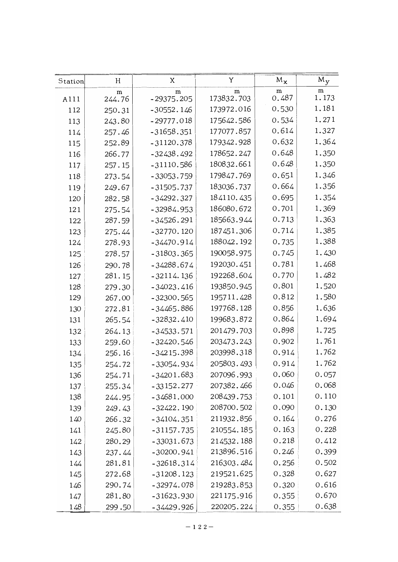| Station | H      | X            | Y          | $M_{\chi}$ | $M_{y}$ |
|---------|--------|--------------|------------|------------|---------|
|         | m      | m            | m          | m          | m       |
| A111    | 244.76 | $-29375.205$ | 173832.703 | 0.487      | 1.173   |
| 112     | 250.31 | $-30552.146$ | 173972.016 | 0.530      | 1.181   |
| 113     | 243.80 | $-29777.018$ | 175642.586 | 0.534      | 1.271   |
| 114     | 257.46 | $-31658.351$ | 177077.857 | 0.614      | 1.327   |
| 115     | 252.89 | $-31120.378$ | 179342.928 | 0.632      | 1.364   |
| 116     | 266.77 | $-32438.492$ | 178652.247 | 0.648      | 1.350   |
| 117     | 257.15 | $-31110.586$ | 180832.661 | 0.648      | 1.350   |
| 118     | 273.54 | $-33053.759$ | 179847.769 | 0.651      | 1.346   |
| 119     | 249.67 | $-31505.737$ | 183036.737 | 0.664      | 1.356   |
| 120     | 282.58 | $-34292.327$ | 184110.435 | 0.695      | 1.354   |
| 121     | 275.54 | $-32984.953$ | 186080.672 | 0.701      | 1.369   |
| 122     | 287.59 | $-34526.291$ | 185663.944 | 0.713      | 1.363   |
| 123     | 275.44 | $-32770.120$ | 187451.306 | 0.714      | 1.385   |
| 124     | 278.93 | $-34470.914$ | 188042.192 | 0.735      | 1.388   |
| 125     | 278.57 | $-31803.365$ | 190058.975 | 0.745      | 1.430   |
| 126     | 290.78 | $-34288.674$ | 192030.451 | 0.781      | 1.468   |
| 127     | 281.15 | $-32114.136$ | 192268.604 | 0.770      | 1.482   |
| 128     | 279.30 | $-34023.416$ | 193850.945 | 0.801      | 1.520   |
| 129     | 267.00 | $-32300.565$ | 195711.428 | 0.812      | 1.580   |
| 130     | 272.81 | -34465.886   | 197768.128 | 0.856      | 1.636   |
| 131     | 265.54 | $-32832.410$ | 199683.872 | 0.864      | 1.694   |
| 132     | 264.13 | $-34533.571$ | 201479.703 | 0.898      | 1.725   |
| 133     | 259.60 | $-32420.546$ | 203473.243 | 0.902      | 1.761   |
| 134     | 256.16 | $-34215.398$ | 203998.318 | 0.914      | 1.762   |
| 135     | 254.72 | $-33054.934$ | 205803.493 | 0.914      | 1.762   |
| 136     | 254.71 | $-34201.683$ | 207096.993 | 0.060      | 0.057   |
| 137     | 255.34 | $-33152.277$ | 207382.466 | 0.046      | 0.068   |
| 138     | 244.95 | $-34681.000$ | 208439.753 | 0.101      | 0.110   |
| 139     | 249.43 | $-32422.190$ | 208700.502 | 0.090      | 0.130   |
| 140     | 266.32 | $-34104.351$ | 211932.856 | 0.164      | 0.276   |
| 141     | 245.80 | $-31157.735$ | 210554.185 | 0.163      | 0.228   |
| 142     | 280.29 | $-33031.673$ | 214532.188 | 0.218      | 0.412   |
| 143     | 237.44 | $-30200.941$ | 213896.516 | 0.246      | 0.399   |
| 144     | 281.81 | $-32618.314$ | 216303.484 | 0.256      | 0.502   |
| 145     | 272.68 | $-31208.123$ | 219521.625 | 0.328      | 0.627   |
| 146     | 290.74 | $-32974.078$ | 219283.853 | 0.320      | 0.616   |
| 147     | 281.80 | $-31623.930$ | 221175.916 | 0.355      | 0.670   |
| 148     | 299.50 | -34429.926   | 220205.224 | 0.355      | 0.638   |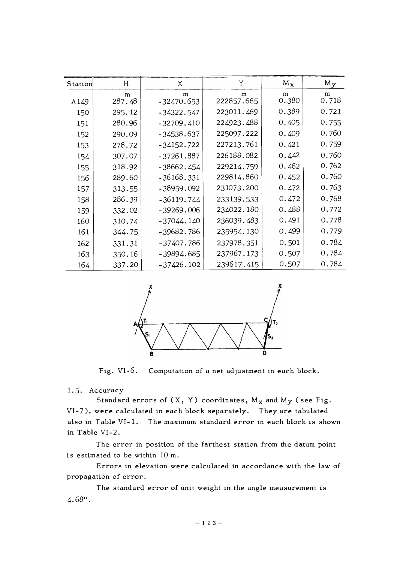| Station | H           | Χ                 | Y               | $M_{\rm X}$ | $M_{y}$    |
|---------|-------------|-------------------|-----------------|-------------|------------|
| A149    | m<br>287.48 | m<br>$-32470.653$ | m<br>222857.665 | m<br>0.380  | m<br>0.718 |
| 150     | 295.12      | $-34322.547$      | 223011.469      | 0.389       | 0.721      |
| 151     | 280.96      | $-32709.410$      | 224923.488      | 0.405       | 0.755      |
| 152     | 290.09      | $-34538.637$      | 225097.222      | 0.409       | 0.760      |
| 153     | 278.72      | $-34152.722$      | 227213.761      | 0.421       | 0.759      |
| 154     | 307.07      | $-37261.887$      | 226188.082      | 0.442       | 0.760      |
| 155     | 318.92      | $-38662.454$      | 229214.759      | 0.462       | 0.762      |
| 156     | 289.60      | $-36168.331$      | 229814.860      | 0.452       | 0.760      |
| 157     | 313.55      | $-38959.092$      | 231073.200      | 0.472       | 0.763      |
| 158     | 286.39      | -36119.744        | 233139.533      | 0.472       | 0.768      |
| 159     | 332.02      | $-39269.006$      | 234022.180      | 0.488       | 0.772      |
| 160     | 310.74      | $-37044.140$      | 236039.483      | 0.491       | 0.778      |
| 161     | 344.75      | -39682.786        | 235954.130      | 0.499       | 0.779      |
| 162     | 331.31      | -37407.786        | 237978.351      | 0.501       | 0.784      |
| 163     | 350.16      | -39894.685        | 237967.173      | 0.507       | 0.784      |
| 164     | 337.20      | $-37426.102$      | 239617.415      | 0.507       | 0.784      |



Fig. VI-6. Computation of a net adjustment in each block.

1.5. Accuracy

Standard errors of  $(X, Y)$  coordinates,  $M_X$  and  $M_Y$  (see Fig. VI-7), were calculated in each block separately. They are tabulated also in Table VI-1. The maximum standard error in each block is shown in Table VI-2.

The error in position of the farthest station from the datum point is estimated to be within 10 m.

Errors in elevation were calculated in accordance with the law of propagation of error.

The standard error of unit weight in the angle measurement is 4. 68".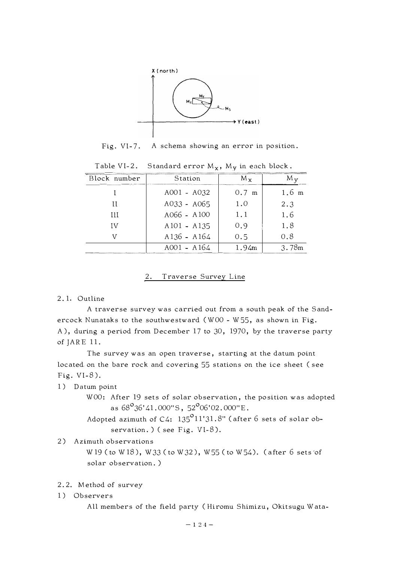

Fig. Vl-7. A schema showing an error in position.

| Block number | Station       | $M_{x}$         | $M_{\rm V}$     |
|--------------|---------------|-----------------|-----------------|
|              | A001 - A032   | $0.7 \text{ m}$ | $1.6 \text{ m}$ |
| Н            | $A033 - A065$ | 1.0             | 2.3             |
| $_{\rm III}$ | A066 - A100   | 1.1             | 1.6             |
| 1V           | $A101 - A135$ | 0.9             | 1.8             |
|              | $A136 - A164$ | 0.5             | 0.8             |
|              | $A001 - A164$ | 1.94m           | 3.78m           |

Table VI-2. Standard error  $M_x$ ,  $M_y$  in each block.

### 2. Traverse Survey Line

#### 2. 1. Outline

A traverse survey was carried out from a south peak of the Sandercock Nunataks to the southwestward (WOO - W55, as shown in Fig. A), during a period from December 17 to 30, 1970, by the traverse party of JARE 11.

The survey was an open traverse, starting at the datum point located on the bare rock and covering 55 stations on the ice sheet ( see Fig. Vl-8).

#### 1) Datum point

WOO: After 19 sets of solar observation, the position was adopted as  $68^{\circ}36'41.000''\text{S}$ , 52 $^{\circ}06'02.000''\text{E}$ .

Adopted azimuth of C4:  $135^{\sf o}11'31.8"$  (after  $6$  sets of solar observation. ) ( see Fig. VI-8).

#### 2) Azimuth observations

W 19 ( to W 18), W 33 ( to W 32), W 55 ( to W 54). ( after 6 sets of solar observation. )

# 2. 2. Method of survey

1) Observers

All members of the field party ( Hiromu Shimizu, Okitsugu Wata-

**- 124 -**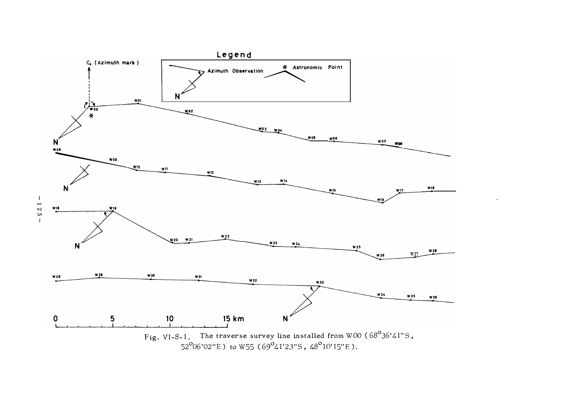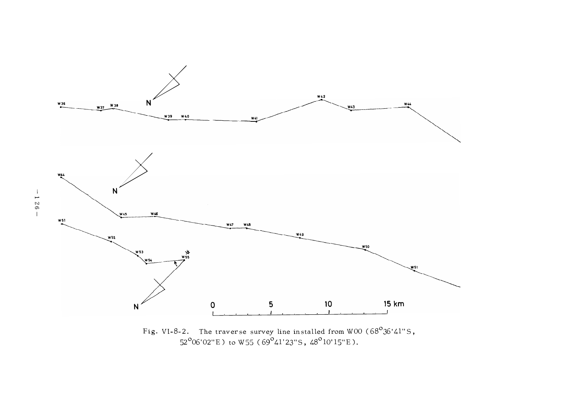

Fig. VI-8-2. The traverse survey line installed from WOO ( $68^{\circ}36'41"$ S, 52<sup>o</sup>06'02"E) to W55 (69<sup>o</sup>41'23"S, 48<sup>o</sup>10'15"E).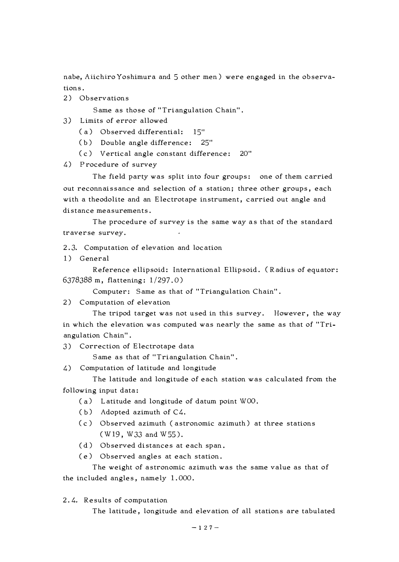nabe, Aiichiro Yoshimura and 5 other men) were engaged in the observations.

2) Observations

Same as those of "Triangulation Chain".

- 3) Limits of error allowed
	- (a) Observed differential: 15"
	- ( b) Double angle difference: 25"
	- ( c) Vertical angle constant difference: 20"
- 4) Procedure of survey

The field party was split into four groups: one of them carried out reconnaissance and selection of a station; three other groups, each with a theodolite and an Electrotape instrument, carried out angle and distance measurements.

The procedure of survey is the same way as that of the standard traverse survey.

2. 3. Computation of elevation and location

1) General

Reference ellipsoid: International Ellipsoid. ( Radius of equator: 6378388 m, flattening: 1 /297. 0)

Computer: Same as that of "Triangulation Chain".

2) Computation of elevation

The tripod target was not used in this survey. However, the way in which the elevation was computed was nearly the same as that of "Triangulation Chain".

3) Correction of Electrotape data

Same as that of "Triangulation Chain".

4) Computation of latitude and longitude

The latitude and longitude of each station was calculated from the following input data:

- ( a) Latitude and longitude of datum point WOO.
- ( b) Adopted azimuth of C4.
- ( c) Observed azimuth ( astronomic azimuth) at three stations (W19, W33 and W55).
- (d) Observed distances at each span.
- ( e) Observed angles at each station.

The weight of astronomic azimuth was the same value as that of the included angles, namely 1.000.

2. 4. Results of computation

The latitude, longitude and elevation of all stations are tabulated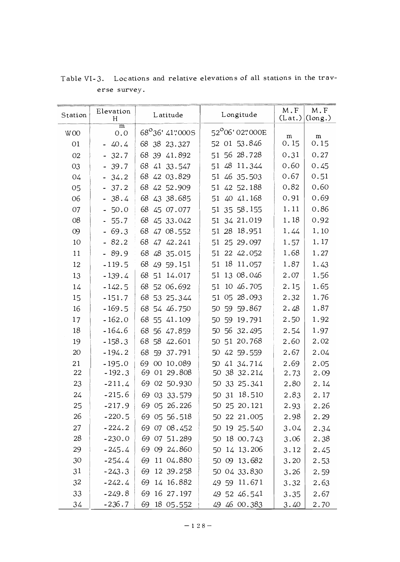| Station         | Elevation<br>H                   | Latitude        | Longitude       | M.F<br>(Lat.) | $\mathbf M$ . $\mathbf F$<br>(long.) |
|-----------------|----------------------------------|-----------------|-----------------|---------------|--------------------------------------|
| W <sub>00</sub> | m<br>0.0                         | 68°36' 41"000S  | 52°06'02"000E   | ${\bf m}$     | m                                    |
| 01              | $-40.4$                          | 68 38 23.327    | 52 01 53.846    | 0.15          | 0.15                                 |
| 02              | $-32.7$                          | 68 39 41.892    | 51 56 28.728    | 0.31          | 0.27                                 |
| 03              | 39.7                             | 68<br>41 33.547 | 51 48 11.344    | 0.60          | 0.45                                 |
| 04              | 34.2                             | 68 42 03.829    | 51 46 35.503    | 0.67          | 0.51                                 |
| 05              | 37.2                             | 68 42 52.909    | 51 42 52.188    | 0.82          | 0.60                                 |
| 06              | 38.4<br>$\overline{\phantom{0}}$ | 68 43 38.685    | 51 40 41.168    | 0.91          | 0.69                                 |
| 07              | 50.0                             | 68<br>45 07.077 | 51 35 58.155    | 1.11          | 0.86                                 |
| 08              | 55.7                             | 68 45 33.042    | 51 34 21.019    | 1.18          | 0.92                                 |
| 09              | 69.3<br>$\blacksquare$           | 68 47 08.552    | 51 28 18.951    | 1.44          | 1.10                                 |
| 10              | $-82.2$                          | 68<br>47 42.241 | 51 25 29.097    | 1.57          | 1.17                                 |
| 11              | $-89.9$                          | 68<br>48 35.015 | 51 22 42.052    | 1.68          | 1.27                                 |
| 12              | $-119.5$                         | 68 49 59.151    | 51 18 11.057    | 1.87          | 1.43                                 |
| 13              | $-139.4$                         | 68 51 14.017    | 51 13 08.046    | 2.07          | 1.56                                 |
| 14              | $-142.5$                         | 68 52 06.692    | 10 46.705<br>51 | 2.15          | 1.65                                 |
| 15              | $-151.7$                         | 68 53 25.344    | 51 05 28.093    | 2.32          | 1.76                                 |
| 16              | $-169.5$                         | 68 54 46.750    | 50 59 59.867    | 2.48          | 1.87                                 |
| 17              | $-162.0$                         | 68 55 41.109    | 59 19.791<br>50 | 2.50          | 1.92                                 |
| 18              | $-164.6$                         | 68<br>56 47.859 | 50 56 32.495    | 2.54          | 1.97                                 |
| 19              | $-158.3$                         | 68<br>58 42.601 | 51 20.768<br>50 | 2.60          | 2.02                                 |
| 20              | $-194.2$                         | 68<br>59 37.791 | 50 42 59.559    | 2.67          | 2.04                                 |
| 21              | $-195.0$                         | 69 00 10.089    | 50 41 34.714    | 2.69          | 2.05                                 |
| 22              | $-192.3$                         | 69 01 29.808    | 50 38 32.214    | 2.73          | 2.09                                 |
| 23              | $-211.4$                         | 69<br>02 50.930 | 50 33 25.341    | 2.80          | 2.14                                 |
| 24              | $-215.6$                         | 69 03 33.579    | 50 31 18.510    | 2.83          | 2.17                                 |
| 25              | $-217.9$                         | 69 05 26.226    | 50 25 20.121    | 2.93          | 2.26                                 |
| 26              | $-220.5$                         | 69 05 56.518    | 50 22 21.005    | 2.98          | 2.29                                 |
| 27              | $-224.2$                         | 69 07 08.452    | 50 19 25.540    | 3.04          | 2.34                                 |
| 28              | $-230.0$                         | 69 07 51.289    | 50 18 00.743    | 3.06          | 2.38                                 |
| 29              | $-245.4$                         | 69 09 24.860    | 50 14 13.206    | 3.12          | 2.45                                 |
| 30              | $-254.4$                         | 69 11 04.880    | 50 09 13.682    | 3.20          | 2.53                                 |
| 31              | $-243.3$                         | 69 12 39.258    | 50 04 33.830    | 3.26          | 2.59                                 |
| 32              | $-242.4$                         | 69 14 16.882    | 49 59 11.671    | 3.32          | 2.63                                 |
| 33              | $-249.8$                         | 69 16 27.197    | 49 52 46.541    | 3.35          | 2.67                                 |
| 34              | $-236.7$                         | 69 18 05.552    | 49 46 00.383    | 3.40          | 2.70                                 |

Table VI-3. Locations and relative elevations of all stations in the traverse survey.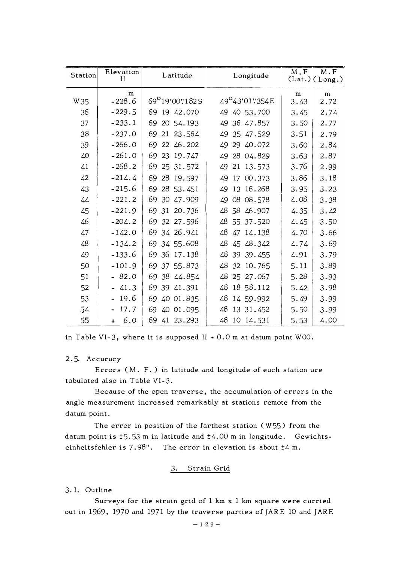| Station | Elevation<br>H | Latitude        | Longitude       | M.F               | M.F<br>(Lat.)(Long.) |
|---------|----------------|-----------------|-----------------|-------------------|----------------------|
| W35     | m<br>$-228.6$  | 69°19'00"182S   | 49°43'01"354E   | ${\bf m}$<br>3.43 | ${\bf m}$<br>2.72    |
| 36      | $-229.5$       | 69 19 42.070    | 49 40 53.700    | 3.45              | 2.74                 |
| 37      | $-233.1$       | 69 20 54.193    | 49 36 47.857    | 3.50              | 2.77                 |
| 38      | $-237.0$       | 69 21 23.564    | 49 35 47.529    | 3.51              | 2.79                 |
| 39      | $-266.0$       | 69 22 46.202    | 29 40.072<br>49 | 3.60              | 2.84                 |
| 40      | $-261.0$       | 69 23 19.747    | 28 04.829<br>49 | 3.63              | 2.87                 |
| 41      | $-268.2$       | 69 25 31.572    | 21 13.573<br>49 | 3.76              | 2.99                 |
| 42      | $-214.4$       | 69 28 19.597    | 49<br>17 00.373 | 3.86              | 3.18                 |
| 43      | $-215.6$       | 69 28 53.451    | 13 16.268<br>49 | 3.95              | 3.23                 |
| 44      | $-221.2$       | 30 47.909<br>69 | 08 08.578<br>49 | 4.08              | 3.38                 |
| 45      | $-221.9$       | 69 31 20.736    | 48 58 46.907    | 4.35              | 3.42                 |
| 46      | $-204.2$       | 69 32 27.596    | 48 55 37.520    | 4.45              | 3.50                 |
| 47      | $-142.0$       | 69 34 26.941    | 48 47 14.138    | 4.70              | 3.66                 |
| 48      | $-134.2$       | 69 34 55.608    | 48<br>45 48.342 | 4.74              | 3.69                 |
| 49      | $-133.6$       | 69 36 17.138    | 48<br>39 39.455 | 4.91              | 3.79                 |
| 50      | $-101.9$       | 69 37 55.873    | 48<br>32 10.765 | 5.11              | 3.89                 |
| 51      | $-82.0$        | 69 38 44.854    | 48<br>25 27.067 | 5.28              | 3.93                 |
| 52      | $-41.3$        | 69 39 41.391    | 18 58.112<br>48 | 5.42              | 3.98                 |
| 53      | $-19.6$        | 69<br>40 01.835 | 48<br>14 59.992 | 5.49              | 3.99                 |
| 54      | 17.7           | 69 40 01.095    | 48 13 31.452    | 5.50              | 3.99                 |
| 55      | 6.0<br>$+$     | 69 41 23.293    | 48 10 14.531    | 5.53              | 4.00                 |

in Table VI-3, where it is supposed  $H = 0.0$  m at datum point W00.

2.5. Accuracy

Errors (M. F.) in latitude and longitude of each station are tabulated also in Table VI-3.

Because of the open traverse, the accumulation of errors in the angle measurement increased remarkably at stations remote from the datum point.

The error in position of the farthest station  $(W55)$  from the datum point is  $\text{\texttt{t}}5.53$  m in latitude and  $\text{\texttt{t}}4.00$  m in longitude. Gewichtseinheitsfehler is 7.98". The error in elevation is about  $\frac{1}{4}4$  m.

# 3. Strain Grid

3.1. Outline

Surveys for the strain grid of  $1 \text{ km } x 1 \text{ km }$  square were carried out in 1969, 1970 and 1971 by the traverse parties of JARE 10 and JARE

 $-129-$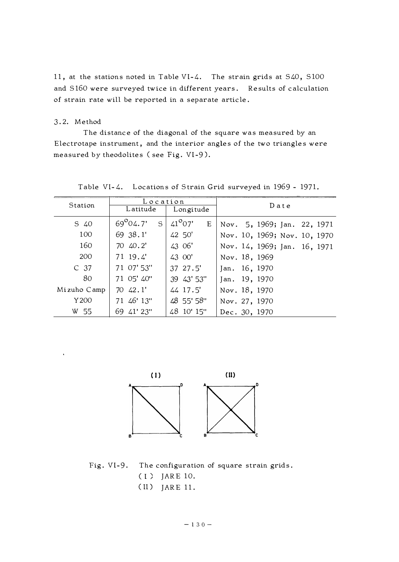11, at the stations noted in Table VI-4. The strain grids at S40, S100 and S160 were surveyed twice in different years. Results of calculation of strain rate will be reported in a separate article.

# 3.2. Method

The distance of the diagonal of the square was measured by an Electrotape instrument, and the interior angles of the two triangles were measured by theodolites (see Fig. VI-9).

| Station         | Location               |                  | $D$ at $e$                   |  |
|-----------------|------------------------|------------------|------------------------------|--|
|                 | Latitude               | Longitude        |                              |  |
| S 40            | $69^{\circ}04.7'$<br>S | $41^{o}07'$<br>E | Nov. 5, 1969; Jan. 22, 1971  |  |
| 100             | 69 38.1'               | 42 50'           | Nov. 10, 1969; Nov. 10, 1970 |  |
| 160             | 70 40.2'               | 43 06'           | Nov. 14, 1969; Jan. 16, 1971 |  |
| 200             | 71 19.4                | 43 00'           | Nov. 18, 1969                |  |
| C <sub>37</sub> | 71 07' 53"             | 37 27.5'         | Jan. 16, 1970                |  |
| 80              | 71 05' 40"             | 39 43' 53"       | Jan. 19, 1970                |  |
| Mizuho Camp     | $70\;42.1'$            | 44 17.5'         | Nov. 18, 1970                |  |
| Y200            | 71 46' 13"             | 48 55' 58"       | Nov. 27, 1970                |  |
| W 55            | 69 41' 23"             | 48 10' 15"       | Dec. 30, 1970                |  |

Table VI-4. Locations of Strain Grid surveyed in 1969 - 1971.



Fig. VI-9. The configuration of square strain grids. ( l ) JAR E 10.

(II) JARE 11.